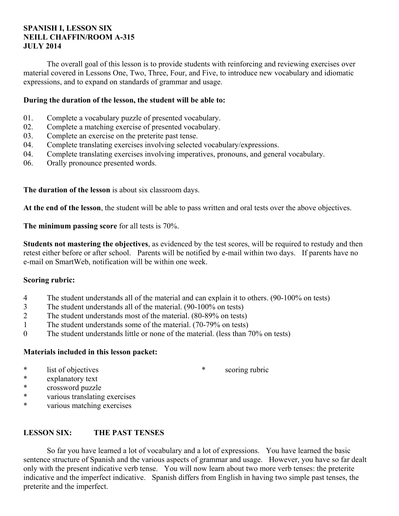## **SPANISH I, LESSON SIX NEILL CHAFFIN/ROOM A-315 JULY 2014**

 The overall goal of this lesson is to provide students with reinforcing and reviewing exercises over material covered in Lessons One, Two, Three, Four, and Five, to introduce new vocabulary and idiomatic expressions, and to expand on standards of grammar and usage.

## **During the duration of the lesson, the student will be able to:**

- 01. Complete a vocabulary puzzle of presented vocabulary.
- 02. Complete a matching exercise of presented vocabulary.
- 03. Complete an exercise on the preterite past tense.
- 04. Complete translating exercises involving selected vocabulary/expressions.
- 04. Complete translating exercises involving imperatives, pronouns, and general vocabulary.
- 06. Orally pronounce presented words.

**The duration of the lesson** is about six classroom days.

**At the end of the lesson**, the student will be able to pass written and oral tests over the above objectives.

**The minimum passing score** for all tests is 70%.

**Students not mastering the objectives**, as evidenced by the test scores, will be required to restudy and then retest either before or after school. Parents will be notified by e-mail within two days. If parents have no e-mail on SmartWeb, notification will be within one week.

#### **Scoring rubric:**

- 4 The student understands all of the material and can explain it to others. (90-100% on tests)
- 3 The student understands all of the material. (90-100% on tests)
- 2 The student understands most of the material. (80-89% on tests)
- 1 The student understands some of the material. (70-79% on tests)
- 0 The student understands little or none of the material. (less than 70% on tests)

## **Materials included in this lesson packet:**

\* list of objectives

\* scoring rubric

- \* explanatory text
- \* crossword puzzle
- \* various translating exercises
- various matching exercises

## **LESSON SIX: THE PAST TENSES**

 So far you have learned a lot of vocabulary and a lot of expressions. You have learned the basic sentence structure of Spanish and the various aspects of grammar and usage. However, you have so far dealt only with the present indicative verb tense. You will now learn about two more verb tenses: the preterite indicative and the imperfect indicative. Spanish differs from English in having two simple past tenses, the preterite and the imperfect.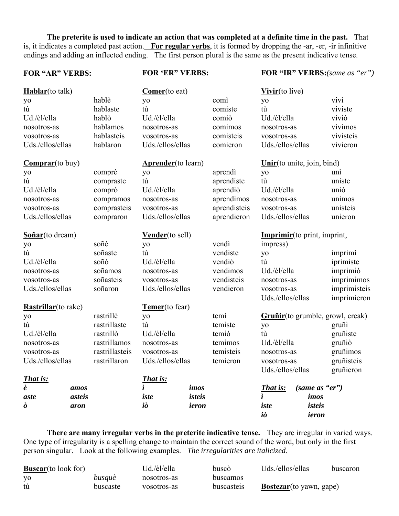**The preterite is used to indicate an action that was completed at a definite time in the past.** That is, it indicates a completed past action. **For regular verbs**, it is formed by dropping the -ar, -er, -ir infinitive endings and adding an inflected ending. The first person plural is the same as the present indicative tense.

#### **FOR "AR" VERBS:**

**FOR 'ER" VERBS:**

**FOR "IR" VERBS:***(same as "er")*

| Hablar(to talk)             |        |                | Comer(to eat)              |        |              | Vivir(to live)               |                |                                   |
|-----------------------------|--------|----------------|----------------------------|--------|--------------|------------------------------|----------------|-----------------------------------|
| yo                          |        | hablè          | yo                         |        | comì         | yo                           |                | vivì                              |
| tù                          |        | hablaste       | tù                         |        | comiste      | tù                           |                | viviste                           |
| Ud./èl/ella                 |        | hablò          | Ud./èl/ella                |        | comiò        | Ud./èl/ella                  |                | viviò                             |
| nosotros-as                 |        | hablamos       | nosotros-as                |        | comimos      | nosotros-as                  |                | vivimos                           |
| vosotros-as                 |        | hablasteis     | vosotros-as                |        | comisteis    | vosotros-as                  |                | vivisteis                         |
| Uds./ellos/ellas            |        | hablaron       | Uds./ellos/ellas           |        | comieron     | Uds./ellos/ellas             |                | vivieron                          |
| $Comparar(to buy)$          |        |                | <b>Aprender</b> (to learn) |        |              | Unir(to unite, join, bind)   |                |                                   |
| yo                          |        | comprè         | yo                         |        | aprendì      | yo                           |                | unì                               |
| tù                          |        | compraste      | tù                         |        | aprendiste   | tù                           |                | uniste                            |
| Ud./èl/ella                 |        | comprò         | Ud./èl/ella                |        | aprendiò     | Ud./èl/ella                  |                | uniò                              |
| nosotros-as                 |        | compramos      | nosotros-as                |        | aprendimos   | nosotros-as                  |                | unimos                            |
| vosotros-as                 |        | comprasteis    | vosotros-as                |        | aprendisteis | vosotros-as                  |                | unisteis                          |
| Uds./ellos/ellas            |        | compraron      | Uds./ellos/ellas           |        | aprendieron  | Uds./ellos/ellas             |                | unieron                           |
| Soñar(to dream)             |        |                | Vender(to sell)            |        |              | Imprimir (to print, imprint, |                |                                   |
| yo                          |        | soñè           | yo                         |        | vendì        | impress)                     |                |                                   |
| tù                          |        | soñaste        | tù                         |        | vendiste     | yo                           |                | imprimì                           |
| Ud./èl/ella                 |        | soñò           | Ud./èl/ella                |        | vendiò       | tù                           |                | iprimiste                         |
| nosotros-as                 |        | soñamos        | nosotros-as                |        | vendimos     | Ud./èl/ella                  |                | imprimiò                          |
| vosotros-as                 |        | soñasteis      | vosotros-as                |        | vendisteis   | nosotros-as                  |                | imprimimos                        |
| Uds./ellos/ellas            |        | soñaron        | Uds./ellos/ellas           |        | vendieron    | vosotros-as                  |                | imprimisteis                      |
|                             |        |                |                            |        |              | Uds./ellos/ellas             |                | imprimieron                       |
| <b>Rastrillar</b> (to rake) |        |                | Temer(to fear)             |        |              |                              |                |                                   |
| yo                          |        | rastrillè      | yo                         |        | temì         |                              |                | Gruñir (to grumble, growl, creak) |
| tù                          |        | rastrillaste   | tù                         |        | temiste      | yo                           |                | gruñi                             |
| Ud./èl/ella                 |        | rastrillò      | Ud./èl/ella                |        | temiò        | tù                           |                | gruñiste                          |
| nosotros-as                 |        | rastrillamos   | nosotros-as                |        | temimos      | Ud./èl/ella                  |                | gruñiò                            |
| vosotros-as                 |        | rastrillasteis | vosotros-as                |        | temisteis    | nosotros-as                  |                | gruñimos                          |
| Uds./ellos/ellas            |        | rastrillaron   | Uds./ellos/ellas           |        | temieron     | vosotros-as                  |                | gruñisteis                        |
|                             |        |                |                            |        |              | Uds./ellos/ellas             |                | gruñieron                         |
| <b>That is:</b>             |        |                | <b>That is:</b>            |        |              |                              |                |                                   |
| $\overline{e}$              | amos   |                | ì                          | imos   |              | That is:                     | (same as "er") |                                   |
| aste                        | asteis |                | iste                       | isteis |              | ì                            | imos           |                                   |
| ò                           | aron   |                | iò                         | ieron  |              | iste                         | isteis         |                                   |
|                             |        |                |                            |        |              | iò                           | ieron          |                                   |

 **There are many irregular verbs in the preterite indicative tense.** They are irregular in varied ways. One type of irregularity is a spelling change to maintain the correct sound of the word, but only in the first person singular. Look at the following examples. *The irregularities are italicized*.

| <b>Buscar</b> (to look for) |          | Ud./èl/ella | buscò      | Uds./ellos/ellas                | buscaron |
|-----------------------------|----------|-------------|------------|---------------------------------|----------|
| yo                          | busquè   | nosotros-as | buscamos   |                                 |          |
| tù                          | buscaste | vosotros-as | buscasteis | <b>Bostezar</b> (to yawn, gape) |          |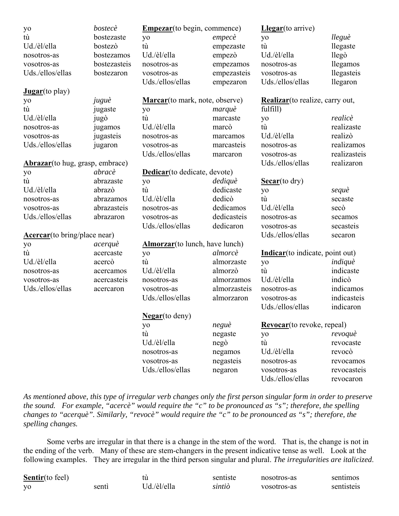| yo                                      | bostecè      | <b>Empezar</b> (to begin, commence)    |              | Llegar(to arrive)                  |              |
|-----------------------------------------|--------------|----------------------------------------|--------------|------------------------------------|--------------|
| tù                                      | bostezaste   | yo                                     | empecè       | yo                                 | lleguè       |
| Ud./èl/ella                             | bostezò      | tù                                     | empezaste    | tù                                 | llegaste     |
| nosotros-as                             | bostezamos   | Ud./èl/ella                            | empezò       | Ud./èl/ella                        | llegò        |
| vosotros-as                             | bostezasteis | nosotros-as                            | empezamos    | nosotros-as                        | llegamos     |
| Uds./ellos/ellas                        | bostezaron   | vosotros-as                            | empezasteis  | vosotros-as                        | llegasteis   |
|                                         |              | Uds./ellos/ellas                       | empezaron    | Uds./ellos/ellas                   | llegaron     |
| Jugar(to play)                          |              |                                        |              |                                    |              |
| yo                                      | juguè        | <b>Marcar</b> (to mark, note, observe) |              | Realizar (to realize, carry out,   |              |
| tù                                      | jugaste      | yo                                     | marquè       | fulfill)                           |              |
| Ud./èl/ella                             | jugò         | tù                                     | marcaste     | yo                                 | realicè      |
| nosotros-as                             | jugamos      | Ud./èl/ella                            | marcò        | tù                                 | realizaste   |
| vosotros-as                             | jugasteis    | nosotros-as                            | marcamos     | Ud./èl/ella                        | realizò      |
| Uds./ellos/ellas                        | jugaron      | vosotros-as                            | marcasteis   | nosotros-as                        | realizamos   |
|                                         |              | Uds./ellos/ellas                       | marcaron     | vosotros-as                        | realizasteis |
| <b>Abrazar</b> (to hug, grasp, embrace) |              |                                        |              | Uds./ellos/ellas                   | realizaron   |
| yo                                      | abracè       | <b>Dedicar</b> (to dedicate, devote)   |              |                                    |              |
| tù                                      | abrazaste    | yo                                     | dediquè      | $\text{Secar}(\text{to dry})$      |              |
| Ud./èl/ella                             | abrazò       | tù                                     | dedicaste    | yo                                 | sequè        |
| nosotros-as                             | abrazamos    | Ud./èl/ella                            | dedicò       | tù                                 | secaste      |
| vosotros-as                             | abrazasteis  | nosotros-as                            | dedicamos    | Ud./èl/ella                        | secò         |
| Uds./ellos/ellas                        | abrazaron    | vosotros-as                            | dedicasteis  | nosotros-as                        | secamos      |
|                                         |              | Uds./ellos/ellas                       | dedicaron    | vosotros-as                        | secasteis    |
| <b>Acercar</b> (to bring/place near)    |              |                                        |              | Uds./ellos/ellas                   | secaron      |
| yo                                      | acerquè      | <b>Almorzar</b> (to lunch, have lunch) |              |                                    |              |
| tù                                      | acercaste    | yo                                     | almorcè      | Indicar(to indicate, point out)    |              |
| Ud./èl/ella                             | acercò       | tù                                     | almorzaste   | yo                                 | indiquè      |
| nosotros-as                             | acercamos    | Ud./èl/ella                            | almorzò      | tù                                 | indicaste    |
| vosotros-as                             | acercasteis  | nosotros-as                            | almorzamos   | Ud./èl/ella                        | indicò       |
| Uds./ellos/ellas                        | acercaron    | vosotros-as                            | almorzasteis | nosotros-as                        | indicamos    |
|                                         |              | Uds./ellos/ellas                       | almorzaron   | vosotros-as                        | indicasteis  |
|                                         |              |                                        |              | Uds./ellos/ellas                   | indicaron    |
|                                         |              | Negar(to deny)                         |              |                                    |              |
|                                         |              | yo                                     | neguè        | <b>Revocar</b> (to revoke, repeal) |              |
|                                         |              | tù                                     | negaste      | yo                                 | revoquè      |
|                                         |              | Ud./èl/ella                            | negò         | tù                                 | revocaste    |
|                                         |              | nosotros-as                            | negamos      | Ud./èl/ella                        | revocò       |
|                                         |              | vosotros-as                            | negasteis    | nosotros-as                        | revocamos    |
|                                         |              | Uds./ellos/ellas                       | negaron      | vosotros-as                        | revocasteis  |
|                                         |              |                                        |              | Uds./ellos/ellas                   | revocaron    |

*As mentioned above, this type of irregular verb changes only the first person singular form in order to preserve the sound. For example, "acercè" would require the "c" to be pronounced as "s"; therefore, the spelling changes to "acerquè". Similarly, "revocè" would require the "c" to be pronounced as "s"; therefore, the spelling changes.*

 Some verbs are irregular in that there is a change in the stem of the word. That is, the change is not in the ending of the verb. Many of these are stem-changers in the present indicative tense as well. Look at the following examples. They are irregular in the third person singular and plural. *The irregularities are italicized*.

| <b>Sentir</b> (to feel) |       |             | sentiste | nosotros-as | sentimos   |
|-------------------------|-------|-------------|----------|-------------|------------|
| V <sub>O</sub>          | senti | Ud./èl/ella | sıntıò   | vosotros-as | sentisteis |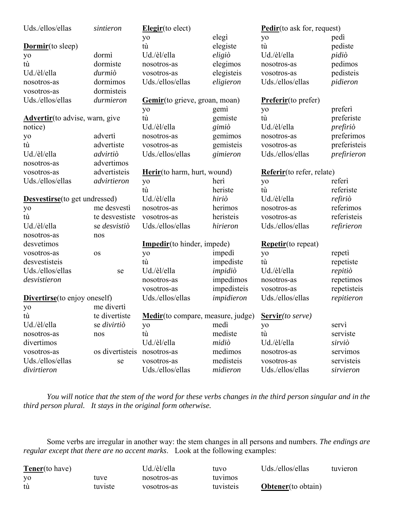| Uds./ellos/ellas                       | sintieron       | Elegir(to elect)                          |             | <b>Pedir</b> (to ask for, request) |              |
|----------------------------------------|-----------------|-------------------------------------------|-------------|------------------------------------|--------------|
|                                        |                 | yo                                        | elegi       | yo                                 | pedi         |
| <b>Dormir</b> (to sleep)               |                 | tù                                        | elegiste    | tù                                 | pediste      |
| yo                                     | dormì           | Ud./èl/ella                               | eligiò      | Ud./èl/ella                        | pidiò        |
| tù                                     | dormiste        | nosotros-as                               | elegimos    | nosotros-as                        | pedimos      |
| Ud./èl/ella                            | durmiò          | vosotros-as                               | elegisteis  | vosotros-as                        | pedisteis    |
| nosotros-as                            | dormimos        | Uds./ellos/ellas                          | eligieron   | Uds./ellos/ellas                   | pidieron     |
| vosotros-as                            | dormisteis      |                                           |             |                                    |              |
| Uds./ellos/ellas                       | durmieron       | Gemir(to grieve, groan, moan)             |             | <b>Preferir</b> (to prefer)        |              |
|                                        |                 | yo                                        | gemi        | yo                                 | preferi      |
| <b>Advertir</b> (to advise, warn, give |                 | tù                                        | gemiste     | tù                                 | preferiste   |
| notice)                                |                 | Ud./èl/ella                               | gimiò       | Ud./èl/ella                        | prefiriò     |
| yo                                     | adverti         | nosotros-as                               | gemimos     | nosotros-as                        | preferimos   |
| tù                                     | advertiste      | vosotros-as                               | gemisteis   | vosotros-as                        | preferisteis |
| Ud./èl/ella                            | advirtiò        | Uds./ellos/ellas                          | gimieron    | Uds./ellos/ellas                   | prefirieron  |
| nosotros-as                            | advertimos      |                                           |             |                                    |              |
| vosotros-as                            | advertisteis    | <b>Herir</b> (to harm, hurt, wound)       |             | Referir(to refer, relate)          |              |
| Uds./ellos/ellas                       | advirtieron     | yo                                        | heri        | yo                                 | referì       |
|                                        |                 | tù                                        | heriste     | tù                                 | referiste    |
| <b>Desvestirse</b> (to get undressed)  |                 | Ud./èl/ella                               | hiriò       | Ud./èl/ella                        | refiriò      |
| yo                                     | me desvesti     | nosotros-as                               | herimos     | nosotros-as                        | referimos    |
| tù                                     | te desvestiste  | vosotros-as                               | heristeis   | vosotros-as                        | referisteis  |
| Ud./èl/ella                            | se desvistiò    | Uds./ellos/ellas                          | hirieron    | Uds./ellos/ellas                   | refirieron   |
| nosotros-as                            | nos             |                                           |             |                                    |              |
| desvetimos                             |                 | <b>Impedir</b> (to hinder, impede)        |             | <b>Repetir</b> (to repeat)         |              |
| vosotros-as                            | <b>OS</b>       | yo                                        | impedi      | yo                                 | repeti       |
| desvestisteis                          |                 | tù                                        | impediste   | tù                                 | repetiste    |
| Uds./ellos/ellas                       | se              | Ud./èl/ella                               | impidiò     | Ud./èl/ella                        | repitiò      |
| desvistieron                           |                 | nosotros-as                               | impedimos   | nosotros-as                        | repetimos    |
|                                        |                 | vosotros-as                               | impedisteis | vosotros-as                        | repetisteis  |
| <b>Divertirse</b> (to enjoy oneself)   |                 | Uds./ellos/ellas                          | impidieron  | Uds./ellos/ellas                   | repitieron   |
| yo                                     | me diverti      |                                           |             |                                    |              |
| tù                                     | te divertiste   | <b>Medir</b> (to compare, measure, judge) |             | Servir(to serve)                   |              |
| Ud./èl/ella                            | se divirtiò     | yo                                        | medi        | yo                                 | servì        |
| nosotros-as                            | nos             | tù                                        | mediste     | tù                                 | serviste     |
| divertimos                             |                 | Ud./èl/ella                               | midiò       | Ud./èl/ella                        | sirviò       |
| vosotros-as                            | os divertisteis | nosotros-as                               | medimos     | nosotros-as                        | servimos     |
| Uds./ellos/ellas                       | se              | vosotros-as                               | medisteis   | vosotros-as                        | servisteis   |
| divirtieron                            |                 | Uds./ellos/ellas                          | midieron    | Uds./ellos/ellas                   | sirvieron    |

 *You will notice that the stem of the word for these verbs changes in the third person singular and in the third person plural. It stays in the original form otherwise.*

 Some verbs are irregular in another way: the stem changes in all persons and numbers. *The endings are regular except that there are no accent marks*. Look at the following examples:

| <b>Tener</b> (to have) |         | Ud./èl/ella | tuvo      | Uds./ellos/ellas           | tuvieron |
|------------------------|---------|-------------|-----------|----------------------------|----------|
| <b>YO</b>              | tuve    | nosotros-as | tuvimos   |                            |          |
| tù                     | tuviste | vosotros-as | tuvisteis | <b>Obtener</b> (to obtain) |          |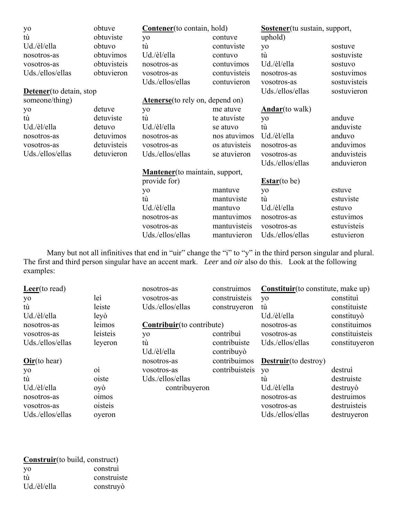| yo                       | obtuve      | <b>Contener</b> (to contain, hold)      |               | Sostener (tu sustain, support, |              |
|--------------------------|-------------|-----------------------------------------|---------------|--------------------------------|--------------|
| tù                       | obtuviste   | yo                                      | contuve       | uphold)                        |              |
| Ud./èl/ella              | obtuvo      | tù                                      | contuviste    | yo                             | sostuve      |
| nosotros-as              | obtuvimos   | Ud./èl/ella                             | contuvo       | tù                             | sostuviste   |
| vosotros-as              | obtuvisteis | nosotros-as                             | contuvimos    | Ud./èl/ella                    | sostuvo      |
| Uds./ellos/ellas         | obtuvieron  | vosotros-as                             | contuvisteis  | nosotros-as                    | sostuvimos   |
|                          |             | Uds./ellos/ellas                        | contuvieron   | vosotros-as                    | sostuvisteis |
| Detener (to detain, stop |             |                                         |               | Uds./ellos/ellas               | sostuvieron  |
| someone/thing)           |             | <b>Atenerse</b> (to rely on, depend on) |               |                                |              |
| yo                       | detuve      | yo                                      | me atuve      | <b>Andar</b> (to walk)         |              |
| tù                       | detuviste   | tù                                      | te atuviste   | yo                             | anduve       |
| Ud./èl/ella              | detuvo      | Ud./èl/ella                             | se atuvo      | tù                             | anduviste    |
| nosotros-as              | detuvimos   | nosotros-as                             | nos atuvimos  | Ud./èl/ella                    | anduvo       |
| vosotros-as              | detuvisteis | vosotros-as                             | os atuvisteis | nosotros-as                    | anduvimos    |
| Uds./ellos/ellas         | detuvieron  | Uds./ellos/ellas                        | se atuvieron  | vosotros-as                    | anduvisteis  |
|                          |             |                                         |               | Uds./ellos/ellas               | anduvieron   |
|                          |             | <b>Mantener</b> (to maintain, support,  |               |                                |              |
|                          |             | provide for)                            |               | $Estar($ to be)                |              |
|                          |             | yo                                      | mantuve       | yo                             | estuve       |
|                          |             | tù                                      | mantuviste    | tù                             | estuviste    |
|                          |             | Ud./èl/ella                             | mantuvo       | Ud./èl/ella                    | estuvo       |
|                          |             | nosotros-as                             | mantuvimos    | nosotros-as                    | estuvimos    |
|                          |             | vosotros-as                             | mantuvisteis  | vosotros-as                    | estuvisteis  |
|                          |             | Uds./ellos/ellas                        | mantuvieron   | Uds./ellos/ellas               | estuvieron   |

Many but not all infinitives that end in "uir" change the "i" to "y" in the third person singular and plural. The first and third person singular have an accent mark. *Leer* and *oir* also do this. Look at the following examples:

| Leer(to read)    |                                       | nosotros-as                | construimos    | Constituir (to constitute, make up) |                |
|------------------|---------------------------------------|----------------------------|----------------|-------------------------------------|----------------|
| yo               | leì                                   | vosotros-as                | construisteis  | yo                                  | constitui      |
| tù               | leiste                                | Uds./ellos/ellas           | construyeron   | tù                                  | constituiste   |
| Ud./èl/ella      | leyò                                  |                            |                | Ud./èl/ella                         | constituyò     |
| nosotros-as      | leimos                                | Contribuir (to contribute) |                | nosotros-as                         | constituimos   |
| vosotros-as      | leisteis                              | yo                         | contribui      | vosotros-as                         | constituisteis |
| Uds./ellos/ellas | leyeron                               | tù                         | contribuiste   | Uds./ellos/ellas                    | constituyeron  |
|                  |                                       | Ud./èl/ella                | contribuyò     |                                     |                |
| $Oir($ to hear)  |                                       | nosotros-as                | contribuimos   | <b>Destruir</b> (to destroy)        |                |
| yo               | $\overrightarrow{0}$                  | vosotros-as                | contribuisteis | <b>VO</b>                           | destrui        |
| tù               | oiste                                 | Uds./ellos/ellas           |                | tù                                  | destruiste     |
| Ud./èl/ella      | oyò                                   | contribuyeron              |                | Ud./èl/ella                         | destruyo       |
| nosotros-as      | <b>o</b> <sub>1</sub> mo <sub>s</sub> |                            |                | nosotros-as                         | destruimos     |
| vosotros-as      | oisteis                               |                            |                | vosotros-as                         | destruisteis   |
| Uds./ellos/ellas | overon                                |                            |                | Uds./ellos/ellas                    | destruyeron    |

| Construir(to build, construct) |             |  |  |  |  |
|--------------------------------|-------------|--|--|--|--|
| yo                             | construi    |  |  |  |  |
| tù                             | construiste |  |  |  |  |
| Ud./èl/ella                    | construyò   |  |  |  |  |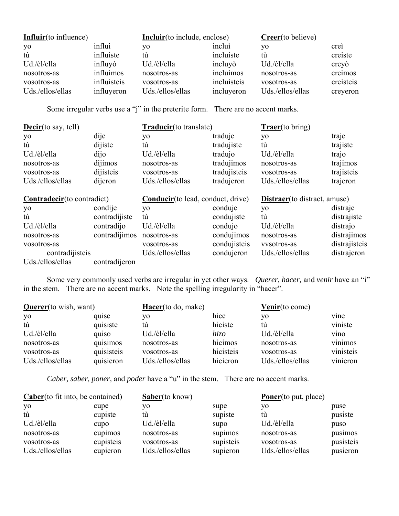| <b>Influir</b> (to influence) |             | <b>Incluir</b> (to include, enclose) |             | Crec(to believe) |           |
|-------------------------------|-------------|--------------------------------------|-------------|------------------|-----------|
| yo                            | influì      | VО                                   | inclui      | VO.              | crei      |
| tù                            | influiste   | tù                                   | incluiste   | tù               | creiste   |
| Ud./èl/ella                   | influyo     | Ud./èl/ella                          | incluyò     | Ud./èl/ella      | creyò     |
| nosotros-as                   | influimos   | nosotros-as                          | incluimos   | nosotros-as      | creimos   |
| vosotros-as                   | influisteis | vosotros-as                          | incluisteis | vosotros-as      | creisteis |
| Uds./ellos/ellas              | influyeron  | Uds./ellos/ellas                     | incluyeron  | Uds./ellos/ellas | creyeron  |

Some irregular verbs use a "j" in the preterite form. There are no accent marks.

| $\mathbf{\underline{Decir}}$ (to say, tell) |               | Traducir(to translate)                    |              | <b>Traer</b> (to bring)              |               |
|---------------------------------------------|---------------|-------------------------------------------|--------------|--------------------------------------|---------------|
| yo                                          | dije          | yo                                        | traduje      | yo                                   | traje         |
| tù                                          | dijiste       | tù                                        | tradujiste   | tù                                   | trajiste      |
| Ud./èl/ella                                 | dijo          | Ud./èl/ella                               | tradujo      | Ud./èl/ella                          | trajo         |
| nosotros-as                                 | dijimos       | nosotros-as                               | tradujimos   | nosotros-as                          | trajimos      |
| vosotros-as                                 | dijisteis     | vosotros-as                               | tradujisteis | vosotros-as                          | trajisteis    |
| Uds./ellos/ellas                            | dijeron       | Uds./ellos/ellas                          | tradujeron   | Uds./ellos/ellas                     | trajeron      |
| Contradecir(to contradict)                  |               | <b>Conducir</b> (to lead, conduct, drive) |              |                                      |               |
|                                             |               |                                           |              | <b>Distraer</b> (to distract, amuse) |               |
| yo                                          | condije       | yo                                        | conduje      | yo                                   | distraje      |
| tù                                          | contradijiste | tù                                        | condujiste   | tù                                   | distrajiste   |
| Ud./èl/ella                                 | contradijo    | Ud./èl/ella                               | condujo      | Ud./èl/ella                          | distrajo      |
| nosotros-as                                 | contradijimos | nosotros-as                               | condujimos   | nosotros-as                          | distrajimos   |
| vosotros-as                                 |               | vosotros-as                               | condujisteis | vysotros-as                          | distrajisteis |
| contradijisteis                             |               | Uds./ellos/ellas                          | condujeron   | Uds./ellos/ellas                     | distrajeron   |

 Some very commonly used verbs are irregular in yet other ways. *Querer, hacer,* and *venir* have an "i" in the stem. There are no accent marks. Note the spelling irregularity in "hacer".

| <b>Querer</b> (to wish, want) |            | Hacer(to do, make) |           | <b>Venir</b> (to come) |                   |
|-------------------------------|------------|--------------------|-----------|------------------------|-------------------|
| yo                            | quise      | VO.                | hice      | yo                     | vine              |
| tù                            | quisiste   | tú                 | hiciste   | tù                     | viniste           |
| Ud./èl/ella                   | quiso      | Ud./èl/ella        | hizo      | Ud./èl/ella            | v <sub>1</sub> no |
| nosotros-as                   | quisimos   | nosotros-as        | hicimos   | nosotros-as            | vinimos           |
| vosotros-as                   | quisisteis | vosotros-as        | hicisteis | vosotros-as            | vinisteis         |
| Uds./ellos/ellas              | quisieron  | Uds./ellos/ellas   | hicieron  | Uds./ellos/ellas       | vinieron          |

*Caber, saber, poner,* and *poder* have a "u" in the stem. There are no accent marks.

| $Caber(to fit into, be contained)$ |           | <b>Saber</b> (to know) |           | <b>Poner</b> (to put, place) |           |
|------------------------------------|-----------|------------------------|-----------|------------------------------|-----------|
| yo                                 | cupe      | VO.                    | supe      | VО                           | puse      |
| tù                                 | cupiste   | tú                     | supiste   | tù                           | pusiste   |
| Ud./èl/ella                        | cupo      | Ud./èl/ella            | supo      | Ud./èl/ella                  | puso      |
| nosotros-as                        | cupimos   | nosotros-as            | supimos   | nosotros-as                  | pusimos   |
| vosotros-as                        | cupisteis | vosotros-as            | supisteis | vosotros-as                  | pusisteis |
| Uds./ellos/ellas                   | cupieron  | Uds./ellos/ellas       | supieron  | Uds./ellos/ellas             | pusieron  |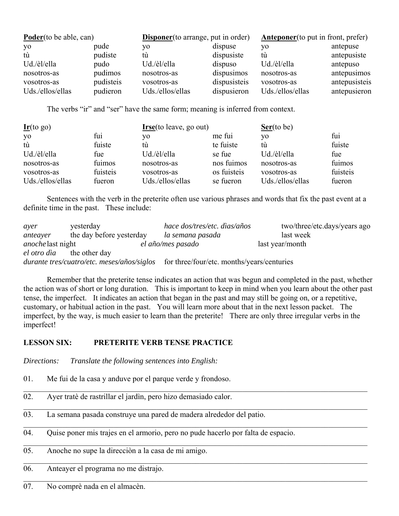| <b>Poder</b> (to be able, can) |           | <b>Disponer</b> (to arrange, put in order) |              | <b>Anteponer</b> (to put in front, prefer) |               |
|--------------------------------|-----------|--------------------------------------------|--------------|--------------------------------------------|---------------|
| yo                             | pude      | VО                                         | dispuse      | VO.                                        | antepuse      |
| tù                             | pudiste   | tú                                         | dispusiste   | tù                                         | antepusiste   |
| Ud./èl/ella                    | pudo      | Ud./èl/ella                                | dispuso      | Ud./èl/ella                                | antepuso      |
| nosotros-as                    | pudimos   | nosotros-as                                | dispusimos   | nosotros-as                                | antepusimos   |
| vosotros-as                    | pudisteis | vosotros-as                                | dispusisteis | vosotros-as                                | antepusisteis |
| Uds./ellos/ellas               | pudieron  | Uds./ellos/ellas                           | dispusieron  | Uds./ellos/ellas                           | antepusieron  |

The verbs "ir" and "ser" have the same form; meaning is inferred from context.

| $Irr$ (to go)    |          | I <sub>rse</sub> (to leave, go out) |             | $Ser($ to be)    |          |
|------------------|----------|-------------------------------------|-------------|------------------|----------|
| yo               | fui      | VО                                  | me fui      | yo               | fui      |
| tù               | fuiste   | tù                                  | te fuiste   | tù               | fuiste   |
| Ud./èl/ella      | fue      | Ud./èl/ella                         | se fue      | Ud./èl/ella      | fue      |
| nosotros-as      | fuimos   | nosotros-as                         | nos fuimos  | nosotros-as      | fuimos   |
| vosotros-as      | fuisteis | vosotros-as                         | os fuisteis | vosotros-as      | fuisteis |
| Uds./ellos/ellas | fueron   | Uds./ellos/ellas                    | se fueron   | Uds./ellos/ellas | fueron   |

 Sentences with the verb in the preterite often use various phrases and words that fix the past event at a definite time in the past. These include:

| ayer                             | yesterday                | hace dos/tres/etc. dias/años                                                                 | two/three/etc.days/years ago |
|----------------------------------|--------------------------|----------------------------------------------------------------------------------------------|------------------------------|
| anteayer                         | the day before yesterday | la semana pasada                                                                             | last week                    |
| <i>anoche</i> last night         |                          | el año/mes pasado                                                                            | last year/month              |
| <i>el otro dia</i> the other day |                          |                                                                                              |                              |
|                                  |                          | <i>durante tres/cuatro/etc. meses/años/siglos</i> for three/four/etc. months/years/centuries |                              |

 Remember that the preterite tense indicates an action that was begun and completed in the past, whether the action was of short or long duration. This is important to keep in mind when you learn about the other past tense, the imperfect. It indicates an action that began in the past and may still be going on, or a repetitive, customary, or habitual action in the past. You will learn more about that in the next lesson packet. The imperfect, by the way, is much easier to learn than the preterite! There are only three irregular verbs in the imperfect!

 $\_$  , and the contribution of the contribution of the contribution of the contribution of the contribution of  $\mathcal{L}_\text{max}$ 

## **LESSON SIX: PRETERITE VERB TENSE PRACTICE**

*Directions: Translate the following sentences into English:*

- 01. Me fui de la casa y anduve por el parque verde y frondoso.
- 02. Ayer tratè de rastrillar el jardìn, pero hizo demasiado calor.
- 03. La semana pasada construye una pared de madera alrededor del patio.
- 04. Quise poner mis trajes en el armorio, pero no pude hacerlo por falta de espacio.
- 05. Anoche no supe la direcciòn a la casa de mi amigo.

06. Anteayer el programa no me distrajo.

07. No comprè nada en el almacèn.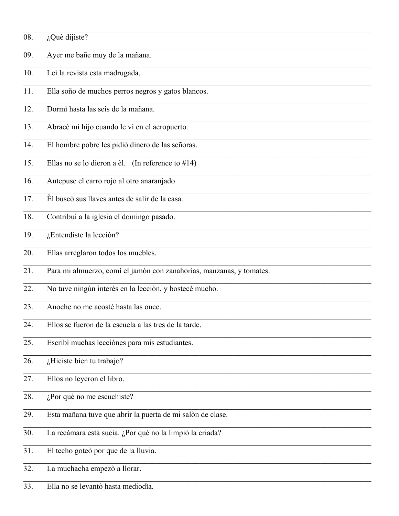| 08. | ¿Què dijiste?                                                        |
|-----|----------------------------------------------------------------------|
| 09. | Ayer me bañe muy de la mañana.                                       |
| 10. | Leì la revista esta madrugada.                                       |
| 11. | Ella soño de muchos perros negros y gatos blancos.                   |
| 12. | Dormì hasta las seis de la mañana.                                   |
| 13. | Abracè mi hijo cuando le vì en el aeropuerto.                        |
| 14. | El hombre pobre les pidiò dinero de las señoras.                     |
| 15. | Ellas no se lo dieron a èl. (In reference to $#14$ )                 |
| 16. | Antepuse el carro rojo al otro anaranjado.                           |
| 17. | Èl buscò sus llaves antes de salir de la casa.                       |
| 18. | Contribuì a la iglesia el domingo pasado.                            |
| 19. | ¿Entendiste la lecciòn?                                              |
| 20. | Ellas arreglaron todos los muebles.                                  |
| 21. | Para mi almuerzo, comì el jamòn con zanahorìas, manzanas, y tomates. |
| 22. | No tuve ningùn interès en la lecciòn, y bostecè mucho.               |
| 23. | Anoche no me acostè hasta las once.                                  |
| 24. | Ellos se fueron de la escuela a las tres de la tarde.                |
| 25. | Escribì muchas lecciònes para mis estudiantes.                       |
| 26. | ¿Hiciste bien tu trabajo?                                            |
| 27. | Ellos no leyeron el libro.                                           |
| 28. | $i$ Por què no me escuchiste?                                        |
| 29. | Esta mañana tuve que abrir la puerta de mi salòn de clase.           |
| 30. | La recàmara està sucia. ¿Por què no la limpiò la criada?             |
| 31. | El techo goteò por que de la lluvia.                                 |
| 32. | La muchacha empezò a llorar.                                         |

 $\overline{33.}$ Ella no se levantò hasta mediodìa.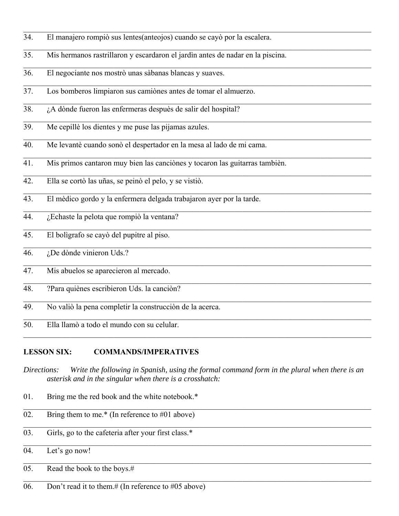- 34. El manajero rompiò sus lentes(anteojos) cuando se cayò por la escalera.
- 35. Mis hermanos rastrillaron y escardaron el jardìn antes de nadar en la piscina.
- 36. El negociante nos mostrò unas sàbanas blancas y suaves.
- 37. Los bomberos limpiaron sus camiònes antes de tomar el almuerzo.
- 38. ¿A dònde fueron las enfermeras despuès de salir del hospital?
- 39. Me cepillè los dientes y me puse las pijamas azules.
- 40. Me levantè cuando sonò el despertador en la mesa al lado de mi cama.
- 41. Mis primos cantaron muy bien las canciònes y tocaron las guitarras tambièn.
- 42. Ella se cortò las uñas, se peinò el pelo, y se vistiò.
- 43. El mèdico gordo y la enfermera delgada trabajaron ayer por la tarde.
- 44. ¿Echaste la pelota que rompiò la ventana?
- 45. El bolìgrafo se cayò del pupitre al piso.
- 46. ¿De dònde vinieron Uds.?
- 47. Mis abuelos se aparecieron al mercado.
- 48. ?Para quiènes escribieron Uds. la canciòn?
- 49. No valiò la pena completir la construcciòn de la acerca.
- 50. Ella llamò a todo el mundo con su celular.

## **LESSON SIX: COMMANDS/IMPERATIVES**

*Directions: Write the following in Spanish, using the formal command form in the plural when there is an asterisk and in the singular when there is a crosshatch:*

 $\mathcal{L}_\mathcal{L} = \mathcal{L}_\mathcal{L} = \mathcal{L}_\mathcal{L} = \mathcal{L}_\mathcal{L} = \mathcal{L}_\mathcal{L} = \mathcal{L}_\mathcal{L} = \mathcal{L}_\mathcal{L} = \mathcal{L}_\mathcal{L} = \mathcal{L}_\mathcal{L} = \mathcal{L}_\mathcal{L} = \mathcal{L}_\mathcal{L} = \mathcal{L}_\mathcal{L} = \mathcal{L}_\mathcal{L} = \mathcal{L}_\mathcal{L} = \mathcal{L}_\mathcal{L} = \mathcal{L}_\mathcal{L} = \mathcal{L}_\mathcal{L}$ 

 $\mathcal{L}_\mathcal{L} = \mathcal{L}_\mathcal{L} = \mathcal{L}_\mathcal{L} = \mathcal{L}_\mathcal{L} = \mathcal{L}_\mathcal{L} = \mathcal{L}_\mathcal{L} = \mathcal{L}_\mathcal{L} = \mathcal{L}_\mathcal{L} = \mathcal{L}_\mathcal{L} = \mathcal{L}_\mathcal{L} = \mathcal{L}_\mathcal{L} = \mathcal{L}_\mathcal{L} = \mathcal{L}_\mathcal{L} = \mathcal{L}_\mathcal{L} = \mathcal{L}_\mathcal{L} = \mathcal{L}_\mathcal{L} = \mathcal{L}_\mathcal{L}$ 

- 01. Bring me the red book and the white notebook.\*
- 02. Bring them to me.\* (In reference to  $\#01$  above)
- 03. Girls, go to the cafeteria after your first class.\*
- 04. Let's go now!
- 05. Read the book to the boys.#
- 06. Don't read it to them.# (In reference to #05 above)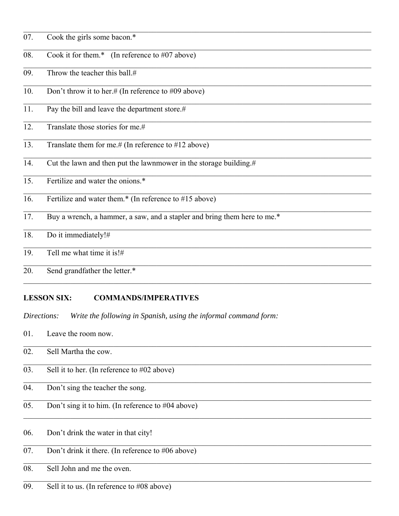- 07. Cook the girls some bacon.\*
- Cook it for them.\* (In reference to #07 above) 08.
- 09. Throw the teacher this ball.#
- 10. Don't throw it to her.# (In reference to #09 above)
- $\overline{11}$ Pay the bill and leave the department store.#
- $12.$ Translate those stories for me.#
- Translate them for me.# (In reference to #12 above)  $13.$
- Cut the lawn and then put the lawnmower in the storage building. $#$  $14.$
- Fertilize and water the onions.\*  $15.$
- $\overline{16}$ . Fertilize and water them.\* (In reference to  $\#15$  above)
- Buy a wrench, a hammer, a saw, and a stapler and bring them here to me.\*  $17.$
- Do it immediately!# 18.
- 19. Tell me what time it is! $#$
- 20. Send grandfather the letter.\*

#### **LESSON SIX: COMMANDS/IMPERATIVES**

Write the following in Spanish, using the informal command form: Directions:

01. Leave the room now.

| 02.      | Sell Martha the cow.                                 |
|----------|------------------------------------------------------|
| 03.      | Sell it to her. (In reference to $\#02$ above)       |
| 04.      | Don't sing the teacher the song.                     |
| 05.      | Don't sing it to him. (In reference to $#04$ above)  |
| 06.      | Don't drink the water in that city!                  |
| 07.      | Don't drink it there. (In reference to $\#06$ above) |
| $\Omega$ | $\sim$ 11 T 1 1 1                                    |

- 08. Sell John and me the oven.
- 09. Sell it to us. (In reference to  $\#08$  above)